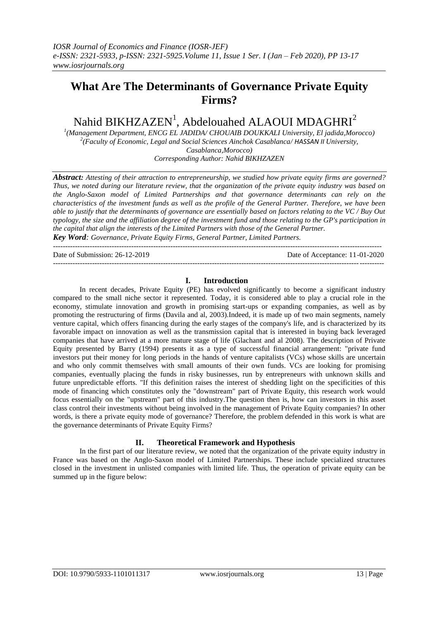## **What Are The Determinants of Governance Private Equity Firms?**

# Nahid BIKHZAZEN<sup>1</sup>, Abdelouahed ALAOUI MDAGHRI<sup>2</sup>

*1 (Management Department, ENCG EL JADIDA/ CHOUAIB DOUKKALI University, El jadida,Morocco) 2 (Faculty of Economic, Legal and Social Sciences Ainchok Casablanca/ HASSAN II University, Casablanca,Morocco) Corresponding Author: Nahid BIKHZAZEN*

*Abstract: Attesting of their attraction to entrepreneurship, we studied how private equity firms are governed? Thus, we noted during our literature review, that the organization of the private equity industry was based on the Anglo-Saxon model of Limited Partnerships and that governance determinants can rely on the characteristics of the investment funds as well as the profile of the General Partner. Therefore, we have been able to justify that the determinants of governance are essentially based on factors relating to the VC / Buy Out typology, the size and the affiliation degree of the investment fund and those relating to the GP's participation in the capital that align the interests of the Limited Partners with those of the General Partner.*

*Key Word: Governance, Private Equity Firms, General Partner, Limited Partners.* --------------------------------------------------------------------------------------------------------------------------------------

Date of Submission: 26-12-2019 Date of Acceptance: 11-01-2020 ---------------------------------------------------------------------------------------------------------------------------------------

#### **I. Introduction**

In recent decades, Private Equity (PE) has evolved significantly to become a significant industry compared to the small niche sector it represented. Today, it is considered able to play a crucial role in the economy, stimulate innovation and growth in promising start-ups or expanding companies, as well as by promoting the restructuring of firms (Davila and al, 2003).Indeed, it is made up of two main segments, namely venture capital, which offers financing during the early stages of the company's life, and is characterized by its favorable impact on innovation as well as the transmission capital that is interested in buying back leveraged companies that have arrived at a more mature stage of life (Glachant and al 2008). The description of Private Equity presented by Barry (1994) presents it as a type of successful financial arrangement: "private fund investors put their money for long periods in the hands of venture capitalists (VCs) whose skills are uncertain and who only commit themselves with small amounts of their own funds. VCs are looking for promising companies, eventually placing the funds in risky businesses, run by entrepreneurs with unknown skills and future unpredictable efforts. "If this definition raises the interest of shedding light on the specificities of this mode of financing which constitutes only the "downstream" part of Private Equity, this research work would focus essentially on the "upstream" part of this industry.The question then is, how can investors in this asset class control their investments without being involved in the management of Private Equity companies? In other words, is there a private equity mode of governance? Therefore, the problem defended in this work is what are the governance determinants of Private Equity Firms?

## **II. Theoretical Framework and Hypothesis**

In the first part of our literature review, we noted that the organization of the private equity industry in France was based on the Anglo-Saxon model of Limited Partnerships. These include specialized structures closed in the investment in unlisted companies with limited life. Thus, the operation of private equity can be summed up in the figure below: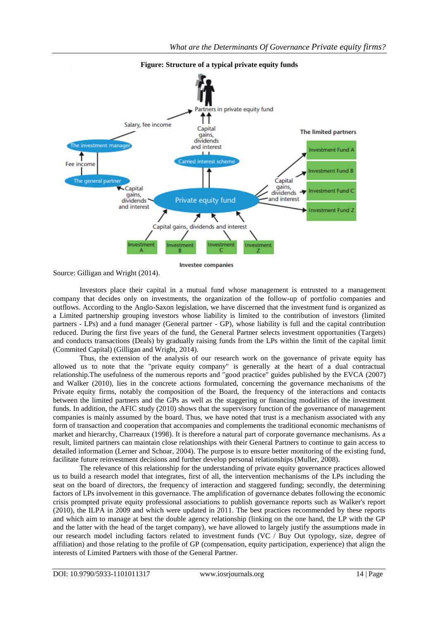

Source: Gilligan and Wright (2014).

Investors place their capital in a mutual fund whose management is entrusted to a management company that decides only on investments, the organization of the follow-up of portfolio companies and outflows. According to the Anglo-Saxon legislation, we have discerned that the investment fund is organized as a Limited partnership grouping investors whose liability is limited to the contribution of investors (limited partners - LPs) and a fund manager (General partner - GP), whose liability is full and the capital contribution reduced. During the first five years of the fund, the General Partner selects investment opportunities (Targets) and conducts transactions (Deals) by gradually raising funds from the LPs within the limit of the capital limit (Commited Capital) (Gilligan and Wright, 2014).

Thus, the extension of the analysis of our research work on the governance of private equity has allowed us to note that the "private equity company" is generally at the heart of a dual contractual relationship.The usefulness of the numerous reports and "good practice" guides published by the EVCA (2007) and Walker (2010), lies in the concrete actions formulated, concerning the governance mechanisms of the Private equity firms, notably the composition of the Board, the frequency of the interactions and contacts between the limited partners and the GPs as well as the staggering or financing modalities of the investment funds. In addition, the AFIC study (2010) shows that the supervisory function of the governance of management companies is mainly assumed by the board. Thus, we have noted that trust is a mechanism associated with any form of transaction and cooperation that accompanies and complements the traditional economic mechanisms of market and hierarchy, Charreaux (1998). It is therefore a natural part of corporate governance mechanisms. As a result, limited partners can maintain close relationships with their General Partners to continue to gain access to detailed information (Lerner and Schoar, 2004). The purpose is to ensure better monitoring of the existing fund, facilitate future reinvestment decisions and further develop personal relationships (Muller, 2008).

The relevance of this relationship for the understanding of private equity governance practices allowed us to build a research model that integrates, first of all, the intervention mechanisms of the LPs including the seat on the board of directors, the frequency of interaction and staggered funding; secondly, the determining factors of LPs involvement in this governance. The amplification of governance debates following the economic crisis prompted private equity professional associations to publish governance reports such as Walker's report (2010), the ILPA in 2009 and which were updated in 2011. The best practices recommended by these reports and which aim to manage at best the double agency relationship (linking on the one hand, the LP with the GP and the latter with the head of the target company), we have allowed to largely justify the assumptions made in our research model including factors related to investment funds (VC / Buy Out typology, size, degree of affiliation) and those relating to the profile of GP (compensation, equity participation, experience) that align the interests of Limited Partners with those of the General Partner.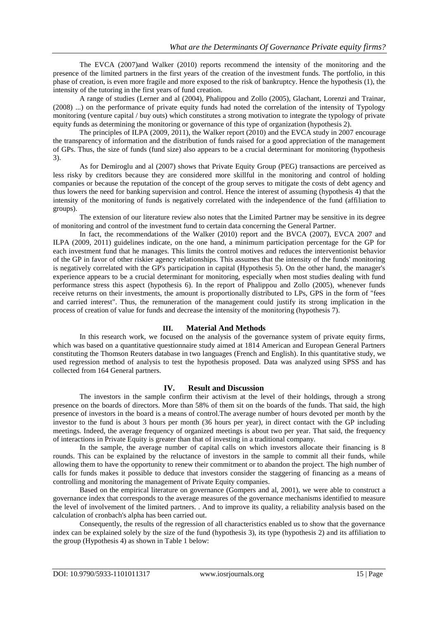The EVCA (2007)and Walker (2010) reports recommend the intensity of the monitoring and the presence of the limited partners in the first years of the creation of the investment funds. The portfolio, in this phase of creation, is even more fragile and more exposed to the risk of bankruptcy. Hence the hypothesis (1), the intensity of the tutoring in the first years of fund creation.

A range of studies (Lerner and al (2004), Phalippou and Zollo (2005), Glachant, Lorenzi and Trainar, (2008) ...) on the performance of private equity funds had noted the correlation of the intensity of Typology monitoring (venture capital / buy outs) which constitutes a strong motivation to integrate the typology of private equity funds as determining the monitoring or governance of this type of organization (hypothesis 2).

The principles of ILPA (2009, 2011), the Walker report (2010) and the EVCA study in 2007 encourage the transparency of information and the distribution of funds raised for a good appreciation of the management of GPs. Thus, the size of funds (fund size) also appears to be a crucial determinant for monitoring (hypothesis 3).

As for Demiroglu and al (2007) shows that Private Equity Group (PEG) transactions are perceived as less risky by creditors because they are considered more skillful in the monitoring and control of holding companies or because the reputation of the concept of the group serves to mitigate the costs of debt agency and thus lowers the need for banking supervision and control. Hence the interest of assuming (hypothesis 4) that the intensity of the monitoring of funds is negatively correlated with the independence of the fund (affiliation to groups).

The extension of our literature review also notes that the Limited Partner may be sensitive in its degree of monitoring and control of the investment fund to certain data concerning the General Partner.

In fact, the recommendations of the Walker (2010) report and the BVCA (2007), EVCA 2007 and ILPA (2009, 2011) guidelines indicate, on the one hand, a minimum participation percentage for the GP for each investment fund that he manages. This limits the control motives and reduces the interventionist behavior of the GP in favor of other riskier agency relationships. This assumes that the intensity of the funds' monitoring is negatively correlated with the GP's participation in capital (Hypothesis 5). On the other hand, the manager's experience appears to be a crucial determinant for monitoring, especially when most studies dealing with fund performance stress this aspect (hypothesis 6). In the report of Phalippou and Zollo (2005), whenever funds receive returns on their investments, the amount is proportionally distributed to LPs, GPS in the form of "fees and carried interest". Thus, the remuneration of the management could justify its strong implication in the process of creation of value for funds and decrease the intensity of the monitoring (hypothesis 7).

## **III. Material And Methods**

In this research work, we focused on the analysis of the governance system of private equity firms, which was based on a quantitative questionnaire study aimed at 1814 American and European General Partners constituting the Thomson Reuters database in two languages (French and English). In this quantitative study, we used regression method of analysis to test the hypothesis proposed. Data was analyzed using SPSS and has collected from 164 General partners.

#### **IV. Result and Discussion**

The investors in the sample confirm their activism at the level of their holdings, through a strong presence on the boards of directors. More than 58% of them sit on the boards of the funds. That said, the high presence of investors in the board is a means of control.The average number of hours devoted per month by the investor to the fund is about 3 hours per month (36 hours per year), in direct contact with the GP including meetings. Indeed, the average frequency of organized meetings is about two per year. That said, the frequency of interactions in Private Equity is greater than that of investing in a traditional company.

In the sample, the average number of capital calls on which investors allocate their financing is 8 rounds. This can be explained by the reluctance of investors in the sample to commit all their funds, while allowing them to have the opportunity to renew their commitment or to abandon the project. The high number of calls for funds makes it possible to deduce that investors consider the staggering of financing as a means of controlling and monitoring the management of Private Equity companies.

Based on the empirical literature on governance (Gompers and al, 2001), we were able to construct a governance index that corresponds to the average measures of the governance mechanisms identified to measure the level of involvement of the limited partners. . And to improve its quality, a reliability analysis based on the calculation of cronbach's alpha has been carried out.

Consequently, the results of the regression of all characteristics enabled us to show that the governance index can be explained solely by the size of the fund (hypothesis 3), its type (hypothesis 2) and its affiliation to the group (Hypothesis 4) as shown in Table 1 below: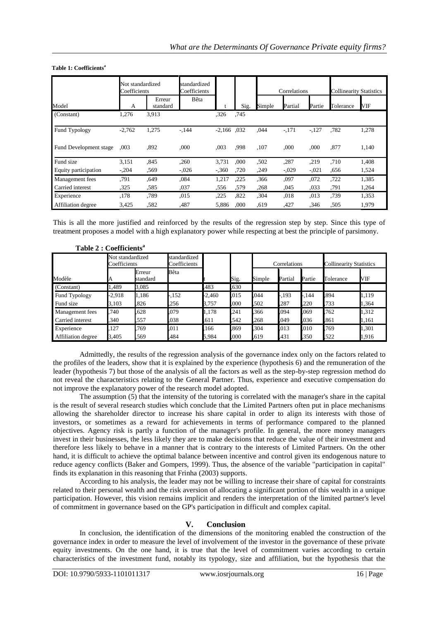|                        | Not standardized<br>Coefficients |                    | standardized<br>Coefficients |               |      | Correlations |         |         | <b>Collinearity Statistics</b> |       |
|------------------------|----------------------------------|--------------------|------------------------------|---------------|------|--------------|---------|---------|--------------------------------|-------|
| Model                  | А                                | Erreur<br>standard | Bêta                         |               | Sig. | Simple       | Partial | Partie  | Tolerance                      | VIF   |
| (Constant)             | 1,276                            | 3,913              |                              | .326          | .745 |              |         |         |                                |       |
| Fund Typology          | $-2,762$                         | 1,275              | $-144$                       | $-2.166$ .032 |      | .044         | $-.171$ | $-127$  | .782                           | 1,278 |
| Fund Development stage | .003                             | .892               | .000                         | ,003          | .998 | .107         | .000    | .000    | .877                           | 1,140 |
| Fund size              | 3,151                            | .845               | ,260                         | 3,731         | .000 | .502         | ,287    | .219    | .710                           | 1,408 |
| Equity participation   | $-.204$                          | ,569               | $-.026$                      | $-.360$       | ,720 | .249         | $-.029$ | $-.021$ | .656                           | 1,524 |
| Management fees        | .791                             | .649               | ,084                         | 1,217         | .225 | .366         | ,097    | ,072    | .722                           | 1,385 |
| Carried interest       | ,325                             | ,585               | ,037                         | ,556          | .579 | .268         | ,045    | .033    | .791                           | 1,264 |
| Experience             | ,178                             | ,789               | ,015                         | ,225          | .822 | ,304         | ,018    | ,013    | ,739                           | 1,353 |
| Affiliation degree     | 3.425                            | .582               | .487                         | 5,886         | .000 | .619         | ,427    | .346    | .505                           | 1,979 |

#### **Table 1: Coefficients<sup>a</sup>**

**Table 2 : Coefficients<sup>a</sup>**

This is all the more justified and reinforced by the results of the regression step by step. Since this type of treatment proposes a model with a high explanatory power while respecting at best the principle of parsimony.

| 1 апіс 4 . Соспісніз |                                  |                    |                              |          |      |              |         |        |                                |       |
|----------------------|----------------------------------|--------------------|------------------------------|----------|------|--------------|---------|--------|--------------------------------|-------|
|                      | Not standardized<br>Coefficients |                    | standardized<br>Coefficients |          |      | Correlations |         |        | <b>Collinearity Statistics</b> |       |
| Modèle               |                                  | Erreur<br>standard | Bêta                         |          | Sig. | Simple       | Partial | Partie | Tolerance                      | VIF   |
| (Constant)           | .489                             | 3,085              |                              | .483     | .630 |              |         |        |                                |       |
| Fund Typology        | $-2,918$                         | 1,186              | $-152$                       | $-2,460$ | .015 | .044         | $-193$  | .144   | .894                           | 1,119 |
| Fund size            | 3,103                            | .826               | .256                         | 3,757    | ,000 | .502         | 287     | ,220   | 733                            | 1,364 |
| Management fees      | 740                              | .628               | .079                         | 1,178    | 241  | .366         | 094     | .069   | .762                           | 1,312 |
| Carried interest     | 340                              | .557               | .038                         | ,611     | 542  | .268         | 049     | .036   | 861                            | 1,161 |
| Experience           | 127                              | 769                | .011                         | 166      | .869 | .304         | 013     | .010   | 769                            | 1,301 |
| Affiliation degree   | 3,405                            | 569                | .484                         | 5,984    | ,000 | .619         | 431     | .350   | 522                            | 1,916 |

Admittedly, the results of the regression analysis of the governance index only on the factors related to the profiles of the leaders, show that it is explained by the experience (hypothesis 6) and the remuneration of the leader (hypothesis 7) but those of the analysis of all the factors as well as the step-by-step regression method do

not reveal the characteristics relating to the General Partner. Thus, experience and executive compensation do not improve the explanatory power of the research model adopted. The assumption (5) that the intensity of the tutoring is correlated with the manager's share in the capital is the result of several research studies which conclude that the Limited Partners often put in place mechanisms allowing the shareholder director to increase his share capital in order to align its interests with those of investors, or sometimes as a reward for achievements in terms of performance compared to the planned objectives. Agency risk is partly a function of the manager's profile. In general, the more money managers invest in their businesses, the less likely they are to make decisions that reduce the value of their investment and therefore less likely to behave in a manner that is contrary to the interests of Limited Partners. On the other

hand, it is difficult to achieve the optimal balance between incentive and control given its endogenous nature to reduce agency conflicts (Baker and Gompers, 1999). Thus, the absence of the variable "participation in capital" finds its explanation in this reasoning that Frinha (2003) supports.

According to his analysis, the leader may not be willing to increase their share of capital for constraints related to their personal wealth and the risk aversion of allocating a significant portion of this wealth in a unique participation. However, this vision remains implicit and renders the interpretation of the limited partner's level of commitment in governance based on the GP's participation in difficult and complex capital.

## **V. Conclusion**

In conclusion, the identification of the dimensions of the monitoring enabled the construction of the governance index in order to measure the level of involvement of the investor in the governance of these private equity investments. On the one hand, it is true that the level of commitment varies according to certain characteristics of the investment fund, notably its typology, size and affiliation, but the hypothesis that the